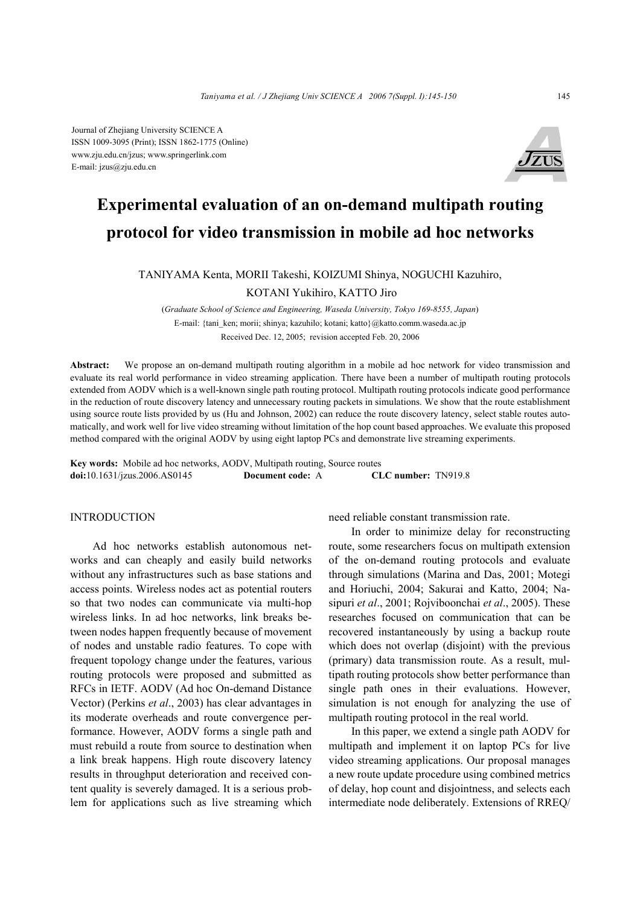Journal of Zhejiang University SCIENCE A ISSN 1009-3095 (Print); ISSN 1862-1775 (Online) www.zju.edu.cn/jzus; www.springerlink.com E-mail: jzus@zju.edu.cn



# **Experimental evaluation of an on-demand multipath routing protocol for video transmission in mobile ad hoc networks**

TANIYAMA Kenta, MORII Takeshi, KOIZUMI Shinya, NOGUCHI Kazuhiro,

KOTANI Yukihiro, KATTO Jiro

(*Graduate School of Science and Engineering, Waseda University, Tokyo 169-8555, Japan*) E-mail: {tani\_ken; morii; shinya; kazuhilo; kotani; katto}@katto.comm.waseda.ac.jp Received Dec. 12, 2005; revision accepted Feb. 20, 2006

**Abstract:** We propose an on-demand multipath routing algorithm in a mobile ad hoc network for video transmission and evaluate its real world performance in video streaming application. There have been a number of multipath routing protocols extended from AODV which is a well-known single path routing protocol. Multipath routing protocols indicate good performance in the reduction of route discovery latency and unnecessary routing packets in simulations. We show that the route establishment using source route lists provided by us (Hu and Johnson, 2002) can reduce the route discovery latency, select stable routes automatically, and work well for live video streaming without limitation of the hop count based approaches. We evaluate this proposed method compared with the original AODV by using eight laptop PCs and demonstrate live streaming experiments.

**Key words:** Mobile ad hoc networks, AODV, Multipath routing, Source routes **doi:**10.1631/jzus.2006.AS0145 **Document code:** A **CLC number:** TN919.8

#### INTRODUCTION

Ad hoc networks establish autonomous networks and can cheaply and easily build networks without any infrastructures such as base stations and access points. Wireless nodes act as potential routers so that two nodes can communicate via multi-hop wireless links. In ad hoc networks, link breaks between nodes happen frequently because of movement of nodes and unstable radio features. To cope with frequent topology change under the features, various routing protocols were proposed and submitted as RFCs in IETF. AODV (Ad hoc On-demand Distance Vector) (Perkins *et al*., 2003) has clear advantages in its moderate overheads and route convergence performance. However, AODV forms a single path and must rebuild a route from source to destination when a link break happens. High route discovery latency results in throughput deterioration and received content quality is severely damaged. It is a serious problem for applications such as live streaming which need reliable constant transmission rate.

In order to minimize delay for reconstructing route, some researchers focus on multipath extension of the on-demand routing protocols and evaluate through simulations (Marina and Das, 2001; Motegi and Horiuchi, 2004; Sakurai and Katto, 2004; Nasipuri *et al*., 2001; Rojviboonchai *et al*., 2005). These researches focused on communication that can be recovered instantaneously by using a backup route which does not overlap (disjoint) with the previous (primary) data transmission route. As a result, multipath routing protocols show better performance than single path ones in their evaluations. However, simulation is not enough for analyzing the use of multipath routing protocol in the real world.

In this paper, we extend a single path AODV for multipath and implement it on laptop PCs for live video streaming applications. Our proposal manages a new route update procedure using combined metrics of delay, hop count and disjointness, and selects each intermediate node deliberately. Extensions of RREQ/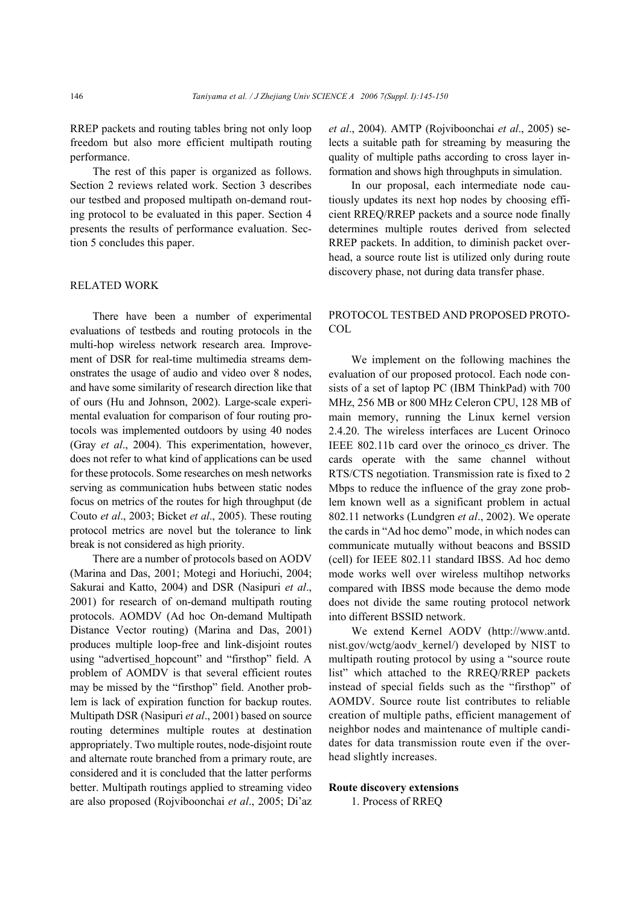RREP packets and routing tables bring not only loop freedom but also more efficient multipath routing performance.

The rest of this paper is organized as follows. Section 2 reviews related work. Section 3 describes our testbed and proposed multipath on-demand routing protocol to be evaluated in this paper. Section 4 presents the results of performance evaluation. Section 5 concludes this paper.

#### RELATED WORK

There have been a number of experimental evaluations of testbeds and routing protocols in the multi-hop wireless network research area. Improvement of DSR for real-time multimedia streams demonstrates the usage of audio and video over 8 nodes, and have some similarity of research direction like that of ours (Hu and Johnson, 2002). Large-scale experimental evaluation for comparison of four routing protocols was implemented outdoors by using 40 nodes (Gray *et al*., 2004). This experimentation, however, does not refer to what kind of applications can be used for these protocols. Some researches on mesh networks serving as communication hubs between static nodes focus on metrics of the routes for high throughput (de Couto *et al*., 2003; Bicket *et al*., 2005). These routing protocol metrics are novel but the tolerance to link break is not considered as high priority.

There are a number of protocols based on AODV (Marina and Das, 2001; Motegi and Horiuchi, 2004; Sakurai and Katto, 2004) and DSR (Nasipuri *et al*., 2001) for research of on-demand multipath routing protocols. AOMDV (Ad hoc On-demand Multipath Distance Vector routing) (Marina and Das, 2001) produces multiple loop-free and link-disjoint routes using "advertised hopcount" and "firsthop" field. A problem of AOMDV is that several efficient routes may be missed by the "firsthop" field. Another problem is lack of expiration function for backup routes. Multipath DSR (Nasipuri *et al*., 2001) based on source routing determines multiple routes at destination appropriately. Two multiple routes, node-disjoint route and alternate route branched from a primary route, are considered and it is concluded that the latter performs better. Multipath routings applied to streaming video are also proposed (Rojviboonchai *et al*., 2005; Di'az *et al*., 2004). AMTP (Rojviboonchai *et al*., 2005) selects a suitable path for streaming by measuring the quality of multiple paths according to cross layer information and shows high throughputs in simulation.

In our proposal, each intermediate node cautiously updates its next hop nodes by choosing efficient RREQ/RREP packets and a source node finally determines multiple routes derived from selected RREP packets. In addition, to diminish packet overhead, a source route list is utilized only during route discovery phase, not during data transfer phase.

# PROTOCOL TESTBED AND PROPOSED PROTO-**COL**

We implement on the following machines the evaluation of our proposed protocol. Each node consists of a set of laptop PC (IBM ThinkPad) with 700 MHz, 256 MB or 800 MHz Celeron CPU, 128 MB of main memory, running the Linux kernel version 2.4.20. The wireless interfaces are Lucent Orinoco IEEE 802.11b card over the orinoco\_cs driver. The cards operate with the same channel without RTS/CTS negotiation. Transmission rate is fixed to 2 Mbps to reduce the influence of the gray zone problem known well as a significant problem in actual 802.11 networks (Lundgren *et al*., 2002). We operate the cards in "Ad hoc demo" mode, in which nodes can communicate mutually without beacons and BSSID (cell) for IEEE 802.11 standard IBSS. Ad hoc demo mode works well over wireless multihop networks compared with IBSS mode because the demo mode does not divide the same routing protocol network into different BSSID network.

We extend Kernel AODV (http://www.antd. nist.gov/wctg/aodv\_kernel/) developed by NIST to multipath routing protocol by using a "source route list" which attached to the RREQ/RREP packets instead of special fields such as the "firsthop" of AOMDV. Source route list contributes to reliable creation of multiple paths, efficient management of neighbor nodes and maintenance of multiple candidates for data transmission route even if the overhead slightly increases.

#### **Route discovery extensions**

1. Process of RREQ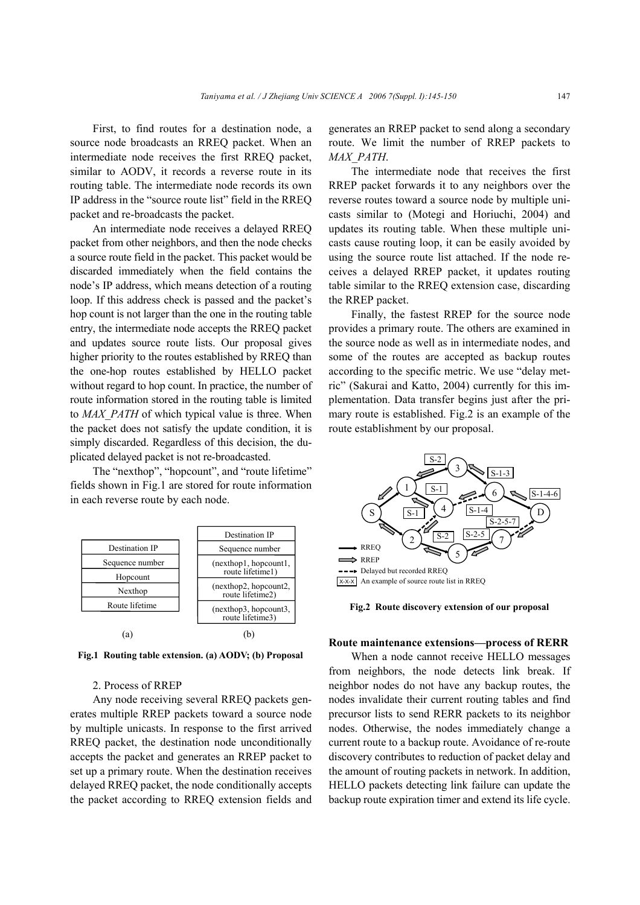First, to find routes for a destination node, a source node broadcasts an RREQ packet. When an intermediate node receives the first RREQ packet, similar to AODV, it records a reverse route in its routing table. The intermediate node records its own IP address in the "source route list" field in the RREQ packet and re-broadcasts the packet.

An intermediate node receives a delayed RREQ packet from other neighbors, and then the node checks a source route field in the packet. This packet would be discarded immediately when the field contains the node's IP address, which means detection of a routing loop. If this address check is passed and the packet's hop count is not larger than the one in the routing table entry, the intermediate node accepts the RREQ packet and updates source route lists. Our proposal gives higher priority to the routes established by RREQ than the one-hop routes established by HELLO packet without regard to hop count. In practice, the number of route information stored in the routing table is limited to *MAX\_PATH* of which typical value is three. When the packet does not satisfy the update condition, it is simply discarded. Regardless of this decision, the duplicated delayed packet is not re-broadcasted.

The "nexthop", "hopcount", and "route lifetime" fields shown in Fig.1 are stored for route information in each reverse route by each node.



**Fig.1 Routing table extension. (a) AODV; (b) Proposal**

## 2. Process of RREP

Any node receiving several RREQ packets generates multiple RREP packets toward a source node by multiple unicasts. In response to the first arrived RREQ packet, the destination node unconditionally accepts the packet and generates an RREP packet to set up a primary route. When the destination receives delayed RREQ packet, the node conditionally accepts the packet according to RREQ extension fields and generates an RREP packet to send along a secondary route. We limit the number of RREP packets to *MAX\_PATH*.

The intermediate node that receives the first RREP packet forwards it to any neighbors over the reverse routes toward a source node by multiple unicasts similar to (Motegi and Horiuchi, 2004) and updates its routing table. When these multiple unicasts cause routing loop, it can be easily avoided by using the source route list attached. If the node receives a delayed RREP packet, it updates routing table similar to the RREQ extension case, discarding the RREP packet.

Finally, the fastest RREP for the source node provides a primary route. The others are examined in the source node as well as in intermediate nodes, and some of the routes are accepted as backup routes according to the specific metric. We use "delay metric" (Sakurai and Katto, 2004) currently for this implementation. Data transfer begins just after the primary route is established. Fig.2 is an example of the route establishment by our proposal.



**Fig.2 Route discovery extension of our proposal** 

#### **Route maintenance extensions—process of RERR**

When a node cannot receive HELLO messages from neighbors, the node detects link break. If neighbor nodes do not have any backup routes, the nodes invalidate their current routing tables and find precursor lists to send RERR packets to its neighbor nodes. Otherwise, the nodes immediately change a current route to a backup route. Avoidance of re-route discovery contributes to reduction of packet delay and the amount of routing packets in network. In addition, HELLO packets detecting link failure can update the backup route expiration timer and extend its life cycle.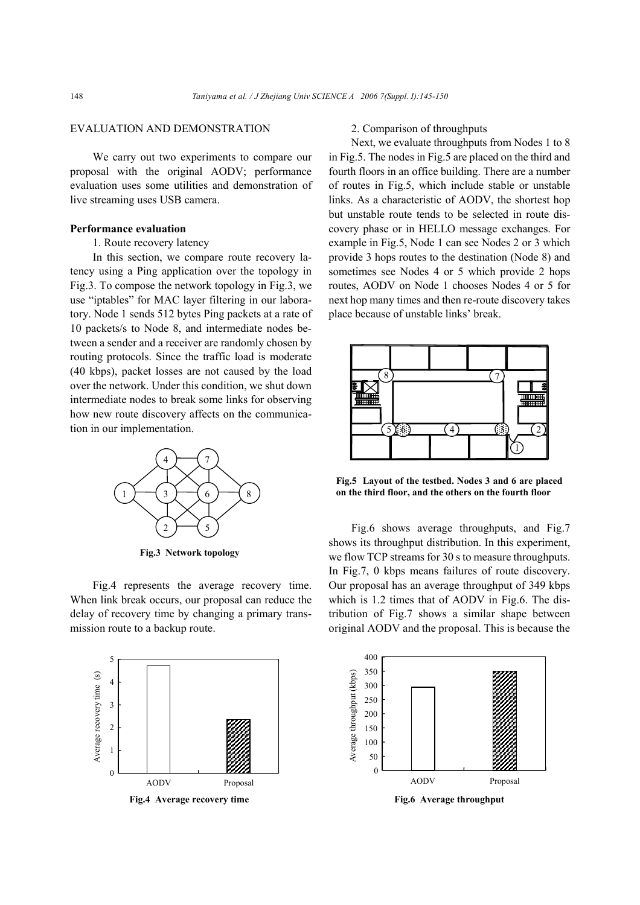## EVALUATION AND DEMONSTRATION

We carry out two experiments to compare our proposal with the original AODV; performance evaluation uses some utilities and demonstration of live streaming uses USB camera.

## **Performance evaluation**

## 1. Route recovery latency

In this section, we compare route recovery latency using a Ping application over the topology in Fig.3. To compose the network topology in Fig.3, we use "iptables" for MAC layer filtering in our laboratory. Node 1 sends 512 bytes Ping packets at a rate of 10 packets/s to Node 8, and intermediate nodes between a sender and a receiver are randomly chosen by routing protocols. Since the traffic load is moderate (40 kbps), packet losses are not caused by the load over the network. Under this condition, we shut down intermediate nodes to break some links for observing how new route discovery affects on the communication in our implementation.



**Fig.3 Network topology** 

Fig.4 represents the average recovery time. When link break occurs, our proposal can reduce the delay of recovery time by changing a primary transmission route to a backup route.



#### 2. Comparison of throughputs

Next, we evaluate throughputs from Nodes 1 to 8 in Fig.5. The nodes in Fig.5 are placed on the third and fourth floors in an office building. There are a number of routes in Fig.5, which include stable or unstable links. As a characteristic of AODV, the shortest hop but unstable route tends to be selected in route discovery phase or in HELLO message exchanges. For example in Fig.5, Node 1 can see Nodes 2 or 3 which provide 3 hops routes to the destination (Node 8) and sometimes see Nodes 4 or 5 which provide 2 hops routes, AODV on Node 1 chooses Nodes 4 or 5 for next hop many times and then re-route discovery takes place because of unstable links' break.



**Fig.5 Layout of the testbed. Nodes 3 and 6 are placed on the third floor, and the others on the fourth floor** 

Fig.6 shows average throughputs, and Fig.7 shows its throughput distribution. In this experiment, we flow TCP streams for 30 s to measure throughputs. In Fig.7, 0 kbps means failures of route discovery. Our proposal has an average throughput of 349 kbps which is 1.2 times that of AODV in Fig.6. The distribution of Fig.7 shows a similar shape between original AODV and the proposal. This is because the



**Fig.6 Average throughput**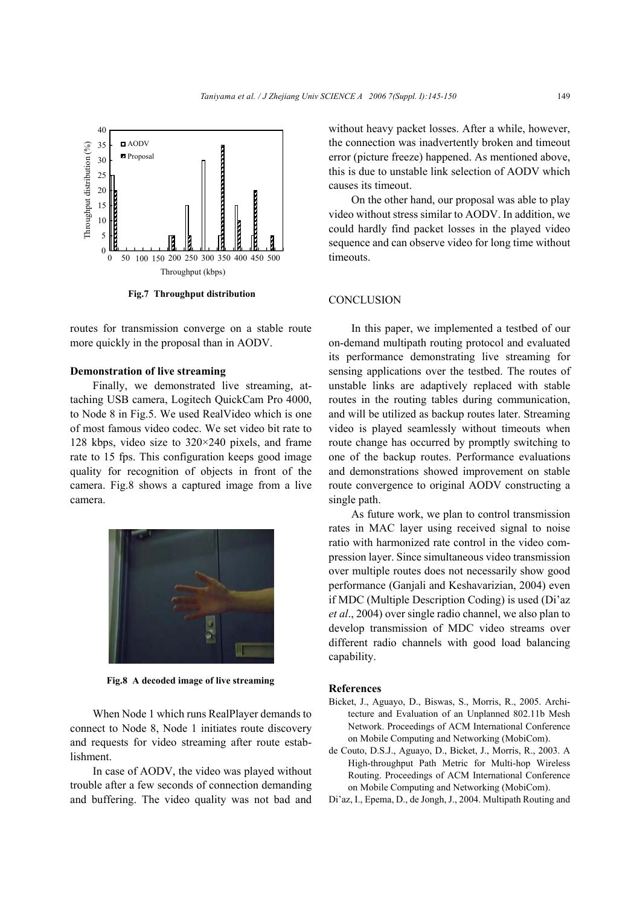

**Fig.7 Throughput distribution** 

routes for transmission converge on a stable route more quickly in the proposal than in AODV.

## **Demonstration of live streaming**

Finally, we demonstrated live streaming, attaching USB camera, Logitech QuickCam Pro 4000, to Node 8 in Fig.5. We used RealVideo which is one of most famous video codec. We set video bit rate to 128 kbps, video size to 320×240 pixels, and frame rate to 15 fps. This configuration keeps good image quality for recognition of objects in front of the camera. Fig.8 shows a captured image from a live camera.



**Fig.8 A decoded image of live streaming** 

When Node 1 which runs RealPlayer demands to connect to Node 8, Node 1 initiates route discovery and requests for video streaming after route establishment.

In case of AODV, the video was played without trouble after a few seconds of connection demanding and buffering. The video quality was not bad and without heavy packet losses. After a while, however, the connection was inadvertently broken and timeout error (picture freeze) happened. As mentioned above, this is due to unstable link selection of AODV which causes its timeout.

On the other hand, our proposal was able to play video without stress similar to AODV. In addition, we could hardly find packet losses in the played video sequence and can observe video for long time without timeouts.

## **CONCLUSION**

In this paper, we implemented a testbed of our on-demand multipath routing protocol and evaluated its performance demonstrating live streaming for sensing applications over the testbed. The routes of unstable links are adaptively replaced with stable routes in the routing tables during communication, and will be utilized as backup routes later. Streaming video is played seamlessly without timeouts when route change has occurred by promptly switching to one of the backup routes. Performance evaluations and demonstrations showed improvement on stable route convergence to original AODV constructing a single path.

As future work, we plan to control transmission rates in MAC layer using received signal to noise ratio with harmonized rate control in the video compression layer. Since simultaneous video transmission over multiple routes does not necessarily show good performance (Ganjali and Keshavarizian, 2004) even if MDC (Multiple Description Coding) is used (Di'az *et al*., 2004) over single radio channel, we also plan to develop transmission of MDC video streams over different radio channels with good load balancing capability.

#### **References**

- Bicket, J., Aguayo, D., Biswas, S., Morris, R., 2005. Architecture and Evaluation of an Unplanned 802.11b Mesh Network. Proceedings of ACM International Conference on Mobile Computing and Networking (MobiCom).
- de Couto, D.S.J., Aguayo, D., Bicket, J., Morris, R., 2003. A High-throughput Path Metric for Multi-hop Wireless Routing. Proceedings of ACM International Conference on Mobile Computing and Networking (MobiCom).
- Di'az, I., Epema, D., de Jongh, J., 2004. Multipath Routing and